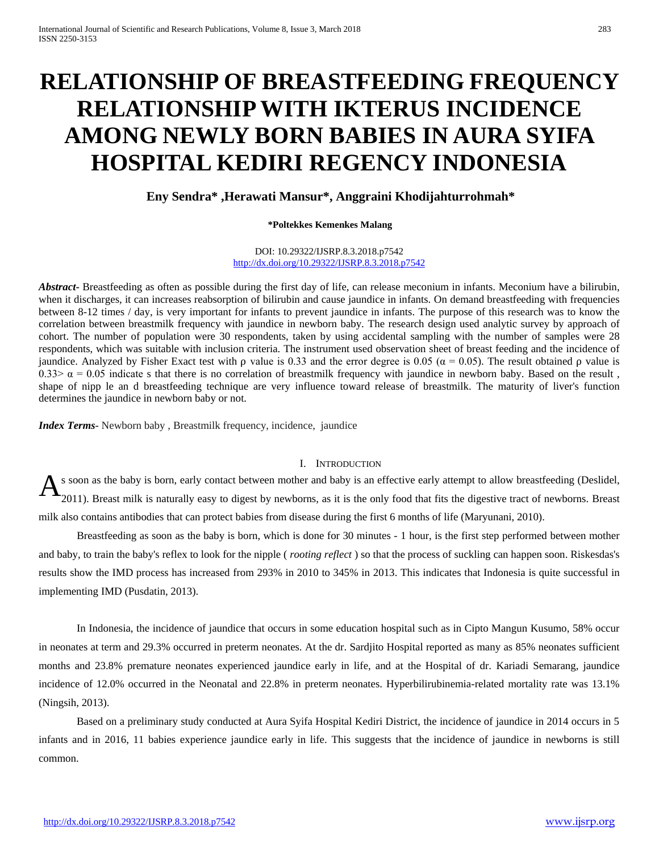# **RELATIONSHIP OF BREASTFEEDING FREQUENCY RELATIONSHIP WITH IKTERUS INCIDENCE AMONG NEWLY BORN BABIES IN AURA SYIFA HOSPITAL KEDIRI REGENCY INDONESIA**

**Eny Sendra\* ,Herawati Mansur\*, Anggraini Khodijahturrohmah\***

#### **\*Poltekkes Kemenkes Malang**

#### DOI: 10.29322/IJSRP.8.3.2018.p7542 <http://dx.doi.org/10.29322/IJSRP.8.3.2018.p7542>

*Abstract***-** Breastfeeding as often as possible during the first day of life, can release meconium in infants. Meconium have a bilirubin, when it discharges, it can increases reabsorption of bilirubin and cause jaundice in infants. On demand breastfeeding with frequencies between 8-12 times / day, is very important for infants to prevent jaundice in infants. The purpose of this research was to know the correlation between breastmilk frequency with jaundice in newborn baby. The research design used analytic survey by approach of cohort. The number of population were 30 respondents, taken by using accidental sampling with the number of samples were 28 respondents, which was suitable with inclusion criteria. The instrument used observation sheet of breast feeding and the incidence of jaundice. Analyzed by Fisher Exact test with  $\rho$  value is 0.33 and the error degree is 0.05 ( $\alpha$  = 0.05). The result obtained  $\rho$  value is 0.33>  $\alpha$  = 0.05 indicate s that there is no correlation of breastmilk frequency with jaundice in newborn baby. Based on the result, shape of nipp le an d breastfeeding technique are very influence toward release of breastmilk. The maturity of liver's function determines the jaundice in newborn baby or not.

*Index Terms*- Newborn baby , Breastmilk frequency, incidence, jaundice

# I. INTRODUCTION

s soon as the baby is born, early contact between mother and baby is an effective early attempt to allow breastfeeding (Deslidel, 2011). Breast milk is naturally easy to digest by newborns, as it is the only food that fits the digestive tract of newborns. Breast milk also contains antibodies that can protect babies from disease during the first 6 months of life (Maryunani, 2010). A

 Breastfeeding as soon as the baby is born, which is done for 30 minutes - 1 hour, is the first step performed between mother and baby, to train the baby's reflex to look for the nipple ( *rooting reflect* ) so that the process of suckling can happen soon. Riskesdas's results show the IMD process has increased from 293% in 2010 to 345% in 2013. This indicates that Indonesia is quite successful in implementing IMD (Pusdatin, 2013).

 In Indonesia, the incidence of jaundice that occurs in some education hospital such as in Cipto Mangun Kusumo, 58% occur in neonates at term and 29.3% occurred in preterm neonates. At the dr. Sardjito Hospital reported as many as 85% neonates sufficient months and 23.8% premature neonates experienced jaundice early in life, and at the Hospital of dr. Kariadi Semarang, jaundice incidence of 12.0% occurred in the Neonatal and 22.8% in preterm neonates. Hyperbilirubinemia-related mortality rate was 13.1% (Ningsih, 2013).

 Based on a preliminary study conducted at Aura Syifa Hospital Kediri District, the incidence of jaundice in 2014 occurs in 5 infants and in 2016, 11 babies experience jaundice early in life. This suggests that the incidence of jaundice in newborns is still common.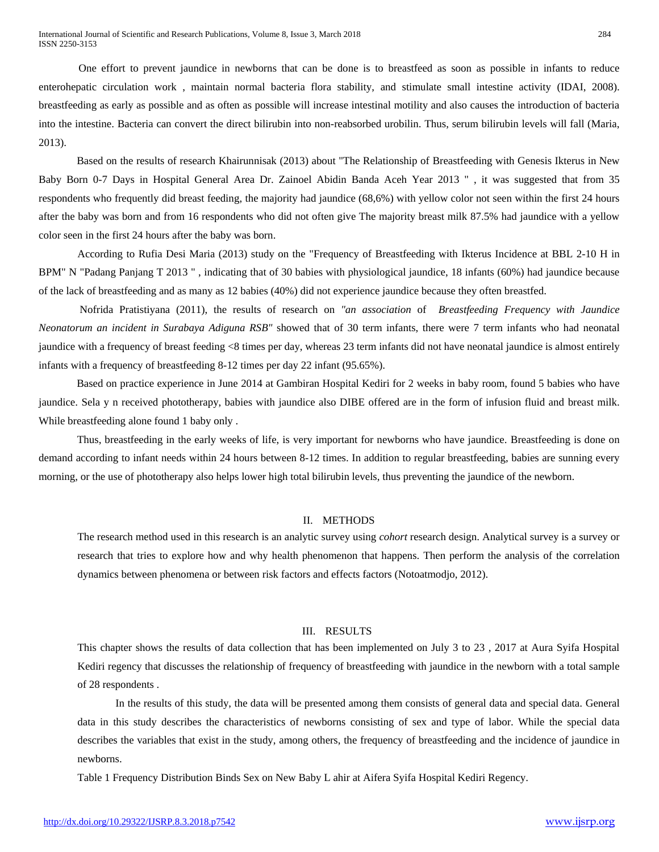One effort to prevent jaundice in newborns that can be done is to breastfeed as soon as possible in infants to reduce enterohepatic circulation work , maintain normal bacteria flora stability, and stimulate small intestine activity (IDAI, 2008). breastfeeding as early as possible and as often as possible will increase intestinal motility and also causes the introduction of bacteria into the intestine. Bacteria can convert the direct bilirubin into non-reabsorbed urobilin. Thus, serum bilirubin levels will fall (Maria, 2013).

 Based on the results of research Khairunnisak (2013) about "The Relationship of Breastfeeding with Genesis Ikterus in New Baby Born 0-7 Days in Hospital General Area Dr. Zainoel Abidin Banda Aceh Year 2013 " , it was suggested that from 35 respondents who frequently did breast feeding, the majority had jaundice (68,6%) with yellow color not seen within the first 24 hours after the baby was born and from 16 respondents who did not often give The majority breast milk 87.5% had jaundice with a yellow color seen in the first 24 hours after the baby was born.

 According to Rufia Desi Maria (2013) study on the "Frequency of Breastfeeding with Ikterus Incidence at BBL 2-10 H in BPM" N "Padang Panjang T 2013 " , indicating that of 30 babies with physiological jaundice, 18 infants (60%) had jaundice because of the lack of breastfeeding and as many as 12 babies (40%) did not experience jaundice because they often breastfed.

 Nofrida Pratistiyana (2011), the results of research on *"an association* of *Breastfeeding Frequency with Jaundice Neonatorum an incident in Surabaya Adiguna RSB"* showed that of 30 term infants, there were 7 term infants who had neonatal jaundice with a frequency of breast feeding <8 times per day, whereas 23 term infants did not have neonatal jaundice is almost entirely infants with a frequency of breastfeeding 8-12 times per day 22 infant (95.65%).

 Based on practice experience in June 2014 at Gambiran Hospital Kediri for 2 weeks in baby room, found 5 babies who have jaundice. Sela y n received phototherapy, babies with jaundice also DIBE offered are in the form of infusion fluid and breast milk. While breastfeeding alone found 1 baby only .

 Thus, breastfeeding in the early weeks of life, is very important for newborns who have jaundice. Breastfeeding is done on demand according to infant needs within 24 hours between 8-12 times. In addition to regular breastfeeding, babies are sunning every morning, or the use of phototherapy also helps lower high total bilirubin levels, thus preventing the jaundice of the newborn.

#### II. METHODS

The research method used in this research is an analytic survey using *cohort* research design. Analytical survey is a survey or research that tries to explore how and why health phenomenon that happens. Then perform the analysis of the correlation dynamics between phenomena or between risk factors and effects factors (Notoatmodjo, 2012).

## III. RESULTS

This chapter shows the results of data collection that has been implemented on July 3 to 23 , 2017 at Aura Syifa Hospital Kediri regency that discusses the relationship of frequency of breastfeeding with jaundice in the newborn with a total sample of 28 respondents .

 In the results of this study, the data will be presented among them consists of general data and special data. General data in this study describes the characteristics of newborns consisting of sex and type of labor. While the special data describes the variables that exist in the study, among others, the frequency of breastfeeding and the incidence of jaundice in newborns.

Table 1 Frequency Distribution Binds Sex on New Baby L ahir at Aifera Syifa Hospital Kediri Regency.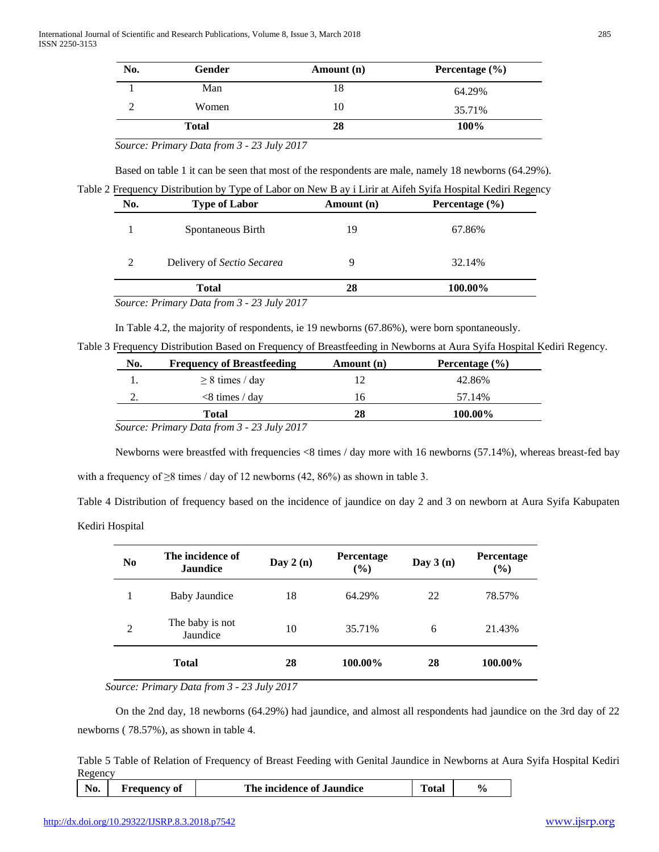| No. | Gender       | Amount (n) | Percentage $(\% )$ |
|-----|--------------|------------|--------------------|
|     | Man          | 18         | 64.29%             |
|     | Women        | 10         | 35.71%             |
|     | <b>Total</b> | 28         | 100%               |

 *Source: Primary Data from 3 - 23 July 2017*

Based on table 1 it can be seen that most of the respondents are male, namely 18 newborns (64.29%).

Table 2 Frequency Distribution by Type of Labor on New B ay i Lirir at Aifeh Syifa Hospital Kediri Regency

| No. | <b>Type of Labor</b>       | Amount (n) | Percentage $(\% )$ |  |
|-----|----------------------------|------------|--------------------|--|
|     | Spontaneous Birth          | 19         | 67.86%             |  |
| 2   | Delivery of Sectio Secarea | 9          | 32.14%             |  |
|     | <b>Total</b>               | 28         | 100.00%            |  |

 *Source: Primary Data from 3 - 23 July 2017*

In Table 4.2, the majority of respondents, ie 19 newborns (67.86%), were born spontaneously.

Table 3 Frequency Distribution Based on Frequency of Breastfeeding in Newborns at Aura Syifa Hospital Kediri Regency.

| No. | <b>Frequency of Breastfeeding</b> | Amount (n) | Percentage $(\% )$ |
|-----|-----------------------------------|------------|--------------------|
|     | $\geq$ 8 times / day              |            | 42.86%             |
| ٠.  | $< 8$ times / day                 | 16.        | 57.14%             |
|     | Total                             | 28         | 100.00%            |

 Newborns were breastfed with frequencies <8 times / day more with 16 newborns (57.14%), whereas breast-fed bay with a frequency of  $\geq$ 8 times / day of 12 newborns (42, 86%) as shown in table 3.

Table 4 Distribution of frequency based on the incidence of jaundice on day 2 and 3 on newborn at Aura Syifa Kabupaten

Kediri Hospital

| N <sub>0</sub> | The incidence of<br><b>Jaundice</b> | Day $2(n)$ | <b>Percentage</b><br>$(\%)$ | Day $3(n)$ | Percentage<br>$(\%)$ |
|----------------|-------------------------------------|------------|-----------------------------|------------|----------------------|
| 1              | Baby Jaundice                       | 18         | 64.29%                      | 22         | 78.57%               |
| $\overline{2}$ | The baby is not<br>Jaundice         | 10         | 35.71%                      | 6          | 21.43%               |
|                | <b>Total</b>                        | 28         | 100.00%                     | 28         | 100.00%              |

*Source: Primary Data from 3 - 23 July 2017*

 On the 2nd day, 18 newborns (64.29%) had jaundice, and almost all respondents had jaundice on the 3rd day of 22 newborns ( 78.57%), as shown in table 4.

Table 5 Table of Relation of Frequency of Breast Feeding with Genital Jaundice in Newborns at Aura Syifa Hospital Kediri Regency

| No. | <b>Frequency of</b> | The incidence of Jaundice | Total |  |  |
|-----|---------------------|---------------------------|-------|--|--|
|-----|---------------------|---------------------------|-------|--|--|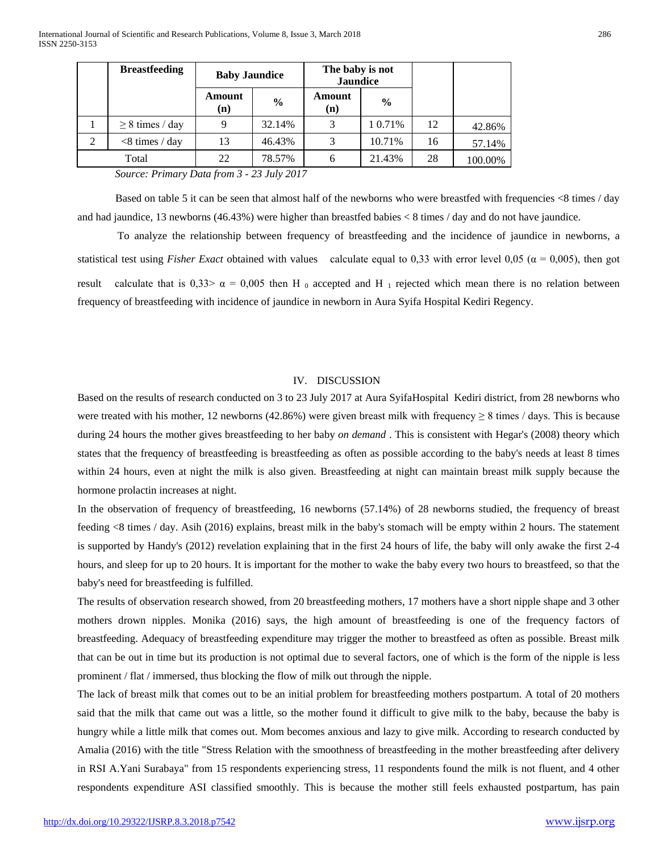|   | <b>Breastfeeding</b> | <b>Baby Jaundice</b> |               | The baby is not<br><b>Jaundice</b> |               |    |         |
|---|----------------------|----------------------|---------------|------------------------------------|---------------|----|---------|
|   |                      | Amount<br>(n)        | $\frac{6}{6}$ | Amount<br>(n)                      | $\frac{0}{0}$ |    |         |
|   | $\geq$ 8 times / day |                      | 32.14%        |                                    | 1 0.71%       | 12 | 42.86%  |
| 2 | $<$ 8 times / day    | 13                   | 46.43%        |                                    | 10.71%        | 16 | 57.14%  |
|   | Total                | 22                   | 78.57%        | h                                  | 21.43%        | 28 | 100.00% |

 *Source: Primary Data from 3 - 23 July 2017*

 Based on table 5 it can be seen that almost half of the newborns who were breastfed with frequencies <8 times / day and had jaundice, 13 newborns (46.43%) were higher than breastfed babies < 8 times / day and do not have jaundice.

 To analyze the relationship between frequency of breastfeeding and the incidence of jaundice in newborns, a statistical test using *Fisher Exact* obtained with values calculate equal to 0,33 with error level 0,05 ( $\alpha$  = 0,005), then got result calculate that is 0,33>  $\alpha$  = 0,005 then H  $_0$  accepted and H  $_1$  rejected which mean there is no relation between frequency of breastfeeding with incidence of jaundice in newborn in Aura Syifa Hospital Kediri Regency.

#### IV. DISCUSSION

Based on the results of research conducted on 3 to 23 July 2017 at Aura SyifaHospital Kediri district, from 28 newborns who were treated with his mother, 12 newborns (42.86%) were given breast milk with frequency  $\geq 8$  times / days. This is because during 24 hours the mother gives breastfeeding to her baby *on demand* . This is consistent with Hegar's (2008) theory which states that the frequency of breastfeeding is breastfeeding as often as possible according to the baby's needs at least 8 times within 24 hours, even at night the milk is also given. Breastfeeding at night can maintain breast milk supply because the hormone prolactin increases at night.

In the observation of frequency of breastfeeding, 16 newborns (57.14%) of 28 newborns studied, the frequency of breast feeding <8 times / day. Asih (2016) explains, breast milk in the baby's stomach will be empty within 2 hours. The statement is supported by Handy's (2012) revelation explaining that in the first 24 hours of life, the baby will only awake the first 2-4 hours, and sleep for up to 20 hours. It is important for the mother to wake the baby every two hours to breastfeed, so that the baby's need for breastfeeding is fulfilled.

The results of observation research showed, from 20 breastfeeding mothers, 17 mothers have a short nipple shape and 3 other mothers drown nipples. Monika (2016) says, the high amount of breastfeeding is one of the frequency factors of breastfeeding. Adequacy of breastfeeding expenditure may trigger the mother to breastfeed as often as possible. Breast milk that can be out in time but its production is not optimal due to several factors, one of which is the form of the nipple is less prominent / flat / immersed, thus blocking the flow of milk out through the nipple.

The lack of breast milk that comes out to be an initial problem for breastfeeding mothers postpartum. A total of 20 mothers said that the milk that came out was a little, so the mother found it difficult to give milk to the baby, because the baby is hungry while a little milk that comes out. Mom becomes anxious and lazy to give milk. According to research conducted by Amalia (2016) with the title "Stress Relation with the smoothness of breastfeeding in the mother breastfeeding after delivery in RSI A.Yani Surabaya" from 15 respondents experiencing stress, 11 respondents found the milk is not fluent, and 4 other respondents expenditure ASI classified smoothly. This is because the mother still feels exhausted postpartum, has pain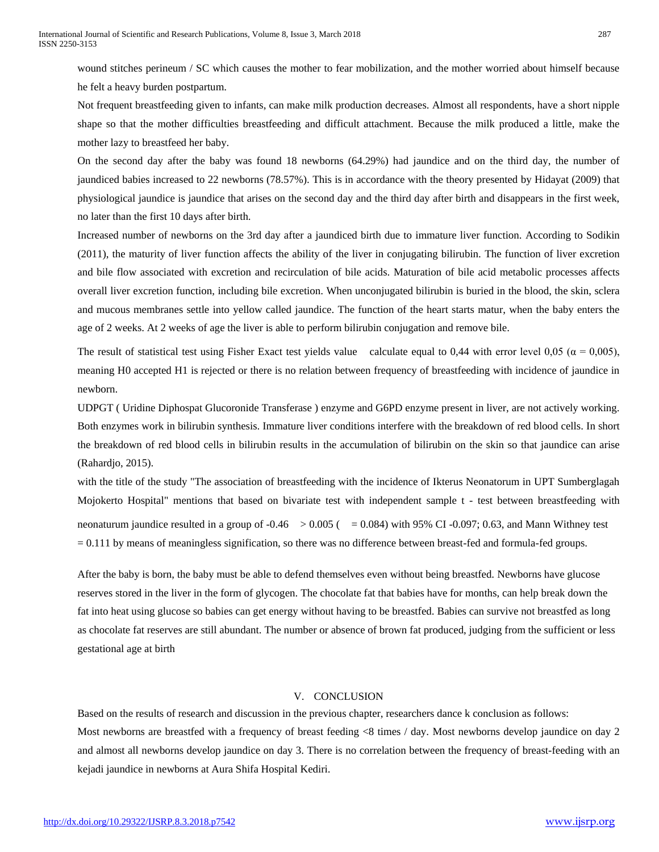wound stitches perineum / SC which causes the mother to fear mobilization, and the mother worried about himself because he felt a heavy burden postpartum.

Not frequent breastfeeding given to infants, can make milk production decreases. Almost all respondents, have a short nipple shape so that the mother difficulties breastfeeding and difficult attachment. Because the milk produced a little, make the mother lazy to breastfeed her baby.

On the second day after the baby was found 18 newborns (64.29%) had jaundice and on the third day, the number of jaundiced babies increased to 22 newborns (78.57%). This is in accordance with the theory presented by Hidayat (2009) that physiological jaundice is jaundice that arises on the second day and the third day after birth and disappears in the first week, no later than the first 10 days after birth.

Increased number of newborns on the 3rd day after a jaundiced birth due to immature liver function. According to Sodikin (2011), the maturity of liver function affects the ability of the liver in conjugating bilirubin. The function of liver excretion and bile flow associated with excretion and recirculation of bile acids. Maturation of bile acid metabolic processes affects overall liver excretion function, including bile excretion. When unconjugated bilirubin is buried in the blood, the skin, sclera and mucous membranes settle into yellow called jaundice. The function of the heart starts matur, when the baby enters the age of 2 weeks. At 2 weeks of age the liver is able to perform bilirubin conjugation and remove bile.

The result of statistical test using Fisher Exact test yields value calculate equal to 0,44 with error level 0,05 ( $\alpha = 0.005$ ), meaning H0 accepted H1 is rejected or there is no relation between frequency of breastfeeding with incidence of jaundice in newborn.

UDPGT ( Uridine Diphospat Glucoronide Transferase ) enzyme and G6PD enzyme present in liver, are not actively working. Both enzymes work in bilirubin synthesis. Immature liver conditions interfere with the breakdown of red blood cells. In short the breakdown of red blood cells in bilirubin results in the accumulation of bilirubin on the skin so that jaundice can arise (Rahardjo, 2015).

with the title of the study "The association of breastfeeding with the incidence of Ikterus Neonatorum in UPT Sumberglagah Mojokerto Hospital" mentions that based on bivariate test with independent sample t - test between breastfeeding with neonaturum jaundice resulted in a group of  $-0.46$   $> 0.005$  ( $= 0.084$ ) with 95% CI  $-0.097$ ; 0.63, and Mann Withney test  $= 0.111$  by means of meaningless signification, so there was no difference between breast-fed and formula-fed groups.

After the baby is born, the baby must be able to defend themselves even without being breastfed. Newborns have glucose reserves stored in the liver in the form of glycogen. The chocolate fat that babies have for months, can help break down the fat into heat using glucose so babies can get energy without having to be breastfed. Babies can survive not breastfed as long as chocolate fat reserves are still abundant. The number or absence of brown fat produced, judging from the sufficient or less gestational age at birth

## V. CONCLUSION

Based on the results of research and discussion in the previous chapter, researchers dance k conclusion as follows: Most newborns are breastfed with a frequency of breast feeding <8 times / day. Most newborns develop jaundice on day 2 and almost all newborns develop jaundice on day 3. There is no correlation between the frequency of breast-feeding with an kejadi jaundice in newborns at Aura Shifa Hospital Kediri.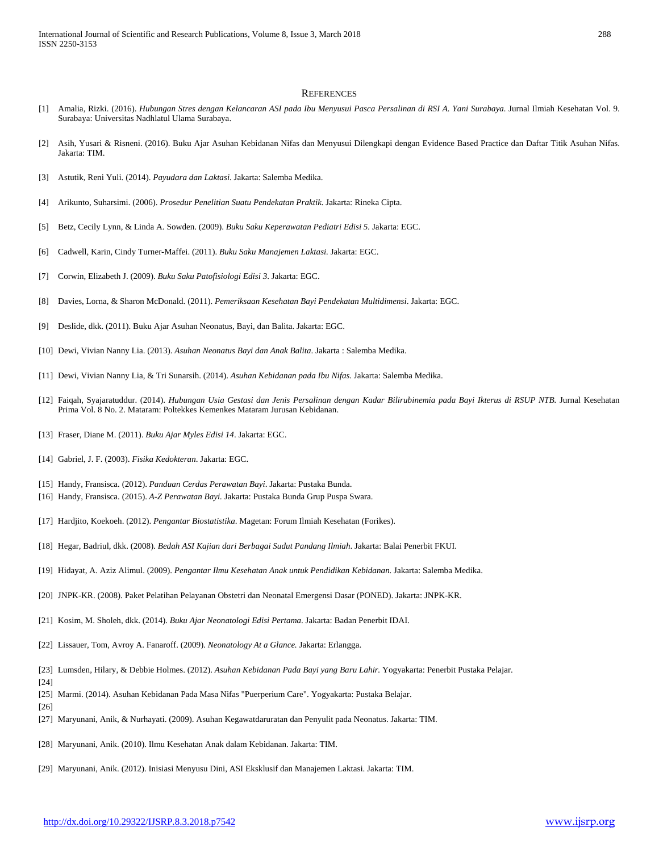#### **REFERENCES**

- [1] Amalia, Rizki. (2016). *Hubungan Stres dengan Kelancaran ASI pada Ibu Menyusui Pasca Persalinan di RSI A. Yani Surabaya.* Jurnal Ilmiah Kesehatan Vol. 9. Surabaya: Universitas Nadhlatul Ulama Surabaya.
- [2] Asih, Yusari & Risneni. (2016). Buku Ajar Asuhan Kebidanan Nifas dan Menyusui Dilengkapi dengan Evidence Based Practice dan Daftar Titik Asuhan Nifas. Jakarta: TIM.
- [3] Astutik, Reni Yuli. (2014). *Payudara dan Laktasi*. Jakarta: Salemba Medika.
- [4] Arikunto, Suharsimi. (2006). *Prosedur Penelitian Suatu Pendekatan Praktik*. Jakarta: Rineka Cipta.
- [5] Betz, Cecily Lynn, & Linda A. Sowden. (2009). *Buku Saku Keperawatan Pediatri Edisi 5.* Jakarta: EGC.
- [6] Cadwell, Karin, Cindy Turner-Maffei. (2011). *Buku Saku Manajemen Laktasi.* Jakarta: EGC.
- [7] Corwin, Elizabeth J. (2009). *Buku Saku Patofisiologi Edisi 3*. Jakarta: EGC.
- [8] Davies, Lorna, & Sharon McDonald. (2011). *Pemeriksaan Kesehatan Bayi Pendekatan Multidimensi*. Jakarta: EGC.
- [9] Deslide, dkk. (2011). Buku Ajar Asuhan Neonatus, Bayi, dan Balita. Jakarta: EGC.
- [10] Dewi, Vivian Nanny Lia. (2013). *Asuhan Neonatus Bayi dan Anak Balita*. Jakarta : Salemba Medika.
- [11] Dewi, Vivian Nanny Lia, & Tri Sunarsih. (2014). *Asuhan Kebidanan pada Ibu Nifas*. Jakarta: Salemba Medika.
- [12] Faiqah, Syajaratuddur. (2014). *Hubungan Usia Gestasi dan Jenis Persalinan dengan Kadar Bilirubinemia pada Bayi Ikterus di RSUP NTB.* Jurnal Kesehatan Prima Vol. 8 No. 2. Mataram: Poltekkes Kemenkes Mataram Jurusan Kebidanan.
- [13] Fraser, Diane M. (2011). *Buku Ajar Myles Edisi 14*. Jakarta: EGC.
- [14] Gabriel, J. F. (2003). *Fisika Kedokteran*. Jakarta: EGC.
- [15] Handy, Fransisca. (2012). *Panduan Cerdas Perawatan Bayi*. Jakarta: Pustaka Bunda.
- [16] Handy, Fransisca. (2015). *A-Z Perawatan Bayi.* Jakarta: Pustaka Bunda Grup Puspa Swara.
- [17] Hardjito, Koekoeh. (2012). *Pengantar Biostatistika*. Magetan: Forum Ilmiah Kesehatan (Forikes).
- [18] Hegar, Badriul, dkk. (2008). *Bedah ASI Kajian dari Berbagai Sudut Pandang Ilmiah*. Jakarta: Balai Penerbit FKUI.
- [19] Hidayat, A. Aziz Alimul. (2009). *Pengantar Ilmu Kesehatan Anak untuk Pendidikan Kebidanan.* Jakarta: Salemba Medika.
- [20] JNPK-KR. (2008). Paket Pelatihan Pelayanan Obstetri dan Neonatal Emergensi Dasar (PONED). Jakarta: JNPK-KR.
- [21] Kosim, M. Sholeh, dkk. (2014). *Buku Ajar Neonatologi Edisi Pertama*. Jakarta: Badan Penerbit IDAI.
- [22] Lissauer, Tom, Avroy A. Fanaroff. (2009). *Neonatology At a Glance.* Jakarta: Erlangga.
- [23] Lumsden, Hilary, & Debbie Holmes. (2012). *Asuhan Kebidanan Pada Bayi yang Baru Lahir.* Yogyakarta: Penerbit Pustaka Pelajar.
- [24]
- [25] Marmi. (2014). Asuhan Kebidanan Pada Masa Nifas "Puerperium Care". Yogyakarta: Pustaka Belajar.
- [26]
- [27] Maryunani, Anik, & Nurhayati. (2009). Asuhan Kegawatdaruratan dan Penyulit pada Neonatus. Jakarta: TIM.
- [28] Maryunani, Anik. (2010). Ilmu Kesehatan Anak dalam Kebidanan. Jakarta: TIM.
- [29] Maryunani, Anik. (2012). Inisiasi Menyusu Dini, ASI Eksklusif dan Manajemen Laktasi. Jakarta: TIM.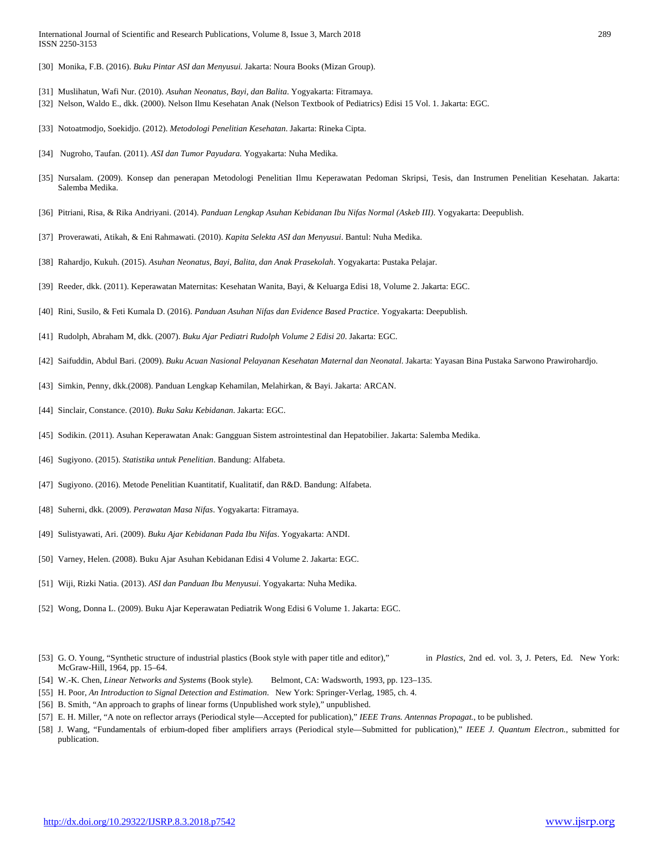- [30] Monika, F.B. (2016). *Buku Pintar ASI dan Menyusui.* Jakarta: Noura Books (Mizan Group).
- [31] Muslihatun, Wafi Nur. (2010). *Asuhan Neonatus, Bayi, dan Balita*. Yogyakarta: Fitramaya.
- [32] Nelson, Waldo E., dkk. (2000). Nelson Ilmu Kesehatan Anak (Nelson Textbook of Pediatrics) Edisi 15 Vol. 1. Jakarta: EGC.
- [33] Notoatmodjo, Soekidjo. (2012). *Metodologi Penelitian Kesehatan*. Jakarta: Rineka Cipta.
- [34] Nugroho, Taufan. (2011). *ASI dan Tumor Payudara.* Yogyakarta: Nuha Medika.
- [35] Nursalam. (2009). Konsep dan penerapan Metodologi Penelitian Ilmu Keperawatan Pedoman Skripsi, Tesis, dan Instrumen Penelitian Kesehatan. Jakarta: Salemba Medika.
- [36] Pitriani, Risa, & Rika Andriyani. (2014). *Panduan Lengkap Asuhan Kebidanan Ibu Nifas Normal (Askeb III)*. Yogyakarta: Deepublish.
- [37] Proverawati, Atikah, & Eni Rahmawati. (2010). *Kapita Selekta ASI dan Menyusui*. Bantul: Nuha Medika.
- [38] Rahardjo, Kukuh. (2015). *Asuhan Neonatus, Bayi, Balita, dan Anak Prasekolah*. Yogyakarta: Pustaka Pelajar.
- [39] Reeder, dkk. (2011). Keperawatan Maternitas: Kesehatan Wanita, Bayi, & Keluarga Edisi 18, Volume 2. Jakarta: EGC.
- [40] Rini, Susilo, & Feti Kumala D. (2016). *Panduan Asuhan Nifas dan Evidence Based Practice*. Yogyakarta: Deepublish.
- [41] Rudolph, Abraham M, dkk. (2007). *Buku Ajar Pediatri Rudolph Volume 2 Edisi 20*. Jakarta: EGC.
- [42] Saifuddin, Abdul Bari. (2009). *Buku Acuan Nasional Pelayanan Kesehatan Maternal dan Neonatal*. Jakarta: Yayasan Bina Pustaka Sarwono Prawirohardjo.
- [43] Simkin, Penny, dkk.(2008). Panduan Lengkap Kehamilan, Melahirkan, & Bayi. Jakarta: ARCAN.
- [44] Sinclair, Constance. (2010). *Buku Saku Kebidanan*. Jakarta: EGC.
- [45] Sodikin. (2011). Asuhan Keperawatan Anak: Gangguan Sistem astrointestinal dan Hepatobilier. Jakarta: Salemba Medika.
- [46] Sugiyono. (2015). *Statistika untuk Penelitian*. Bandung: Alfabeta.
- [47] Sugiyono. (2016). Metode Penelitian Kuantitatif, Kualitatif, dan R&D. Bandung: Alfabeta.
- [48] Suherni, dkk. (2009). *Perawatan Masa Nifas*. Yogyakarta: Fitramaya.
- [49] Sulistyawati, Ari. (2009). *Buku Ajar Kebidanan Pada Ibu Nifas*. Yogyakarta: ANDI.
- [50] Varney, Helen. (2008). Buku Ajar Asuhan Kebidanan Edisi 4 Volume 2. Jakarta: EGC.
- [51] Wiji, Rizki Natia. (2013). *ASI dan Panduan Ibu Menyusui*. Yogyakarta: Nuha Medika.
- [52] Wong, Donna L. (2009). Buku Ajar Keperawatan Pediatrik Wong Edisi 6 Volume 1. Jakarta: EGC.
- [53] G. O. Young, "Synthetic structure of industrial plastics (Book style with paper title and editor)," in *Plastics*, 2nd ed. vol. 3, J. Peters, Ed. New York: McGraw-Hill, 1964, pp. 15–64.
- [54] W.-K. Chen, *Linear Networks and Systems* (Book style)*.* Belmont, CA: Wadsworth, 1993, pp. 123–135.
- [55] H. Poor, *An Introduction to Signal Detection and Estimation*. New York: Springer-Verlag, 1985, ch. 4.
- [56] B. Smith, "An approach to graphs of linear forms (Unpublished work style)," unpublished.
- [57] E. H. Miller, "A note on reflector arrays (Periodical style—Accepted for publication)," *IEEE Trans. Antennas Propagat.*, to be published.
- [58] J. Wang, "Fundamentals of erbium-doped fiber amplifiers arrays (Periodical style—Submitted for publication)," *IEEE J. Quantum Electron.*, submitted for publication.